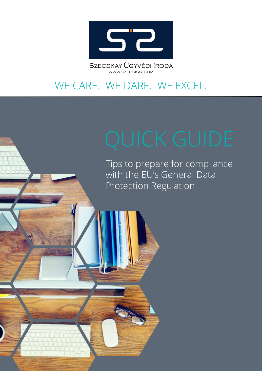

Szecskay Ügyvédi Iroda WWW.SZECSKAY.COM

# WE CARE. WE DARE. WE EXCEL.

Tips to prepare for compliance with the EU's General Data Protection Regulation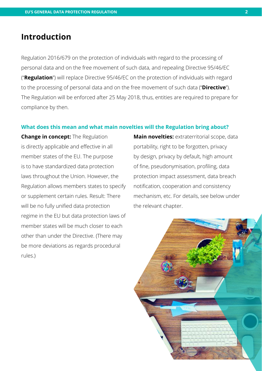### **Introduction**

Regulation 2016/679 on the protection of individuals with regard to the processing of personal data and on the free movement of such data, and repealing Directive 95/46/EC ("**Regulation**") will replace Directive 95/46/EC on the protection of individuals with regard to the processing of personal data and on the free movement of such data ("**Directive**"). The Regulation will be enforced after 25 May 2018, thus, entities are required to prepare for compliance by then.

#### **What does this mean and what main novelties will the Regulation bring about?**

**Change in concept:** The Regulation is directly applicable and efective in all member states of the EU. The purpose is to have standardized data protection laws throughout the Union. However, the Regulation allows members states to specify or supplement certain rules. Result: There will be no fully unifed data protection regime in the EU but data protection laws of member states will be much closer to each other than under the Directive. (There may be more deviations as regards procedural rules.)

**Main novelties:** extraterritorial scope, data portability, right to be forgotten, privacy by design, privacy by default, high amount of fine, pseudonymisation, profiling, data protection impact assessment, data breach notifcation, cooperation and consistency mechanism, etc. For details, see below under the relevant chapter.

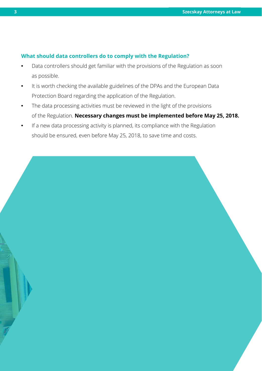#### **What should data controllers do to comply with the Regulation?**

- **•** Data controllers should get familiar with the provisions of the Regulation as soon as possible.
- **•** It is worth checking the available guidelines of the DPAs and the European Data Protection Board regarding the application of the Regulation.
- **•** The data processing activities must be reviewed in the light of the provisions of the Regulation. **Necessary changes must be implemented before May 25, 2018.**
- **•** If a new data processing activity is planned, its compliance with the Regulation should be ensured, even before May 25, 2018, to save time and costs.

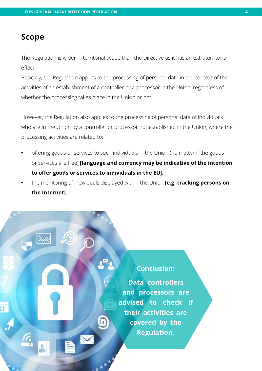### **Scope**

The Regulation is wider in territorial scope than the Directive as it has an extraterritorial effect.

Basically, the Regulation applies to the processing of personal data in the context of the activities of an establishment of a controller or a processor in the Union, regardless of whether the processing takes place in the Union or not.

However, the Regulation also applies to the processing of personal data of individuals who are in the Union by a controller or processor not established in the Union, where the processing activities are related to:

- **•** ofering goods or services to such individuals in the Union (no matter if the goods or services are free) **[language and currency may be indicative of the intention to ofer goods or services to individuals in the EU]**,
- **•** the monitoring of individuals displayed within the Union **[e.g. tracking persons on the Internet].**

### **Conclusion:**

**Data controllers and processors are advised to check if their activities are covered by the Regulation.**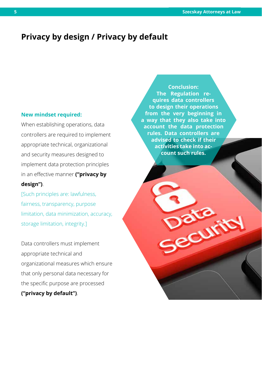### **Privacy by design / Privacy by default**

#### **New mindset required:**

When establishing operations, data controllers are required to implement appropriate technical, organizational and security measures designed to implement data protection principles in an efective manner **("privacy by design")**.

[Such principles are: lawfulness, fairness, transparency, purpose limitation, data minimization, accuracy, storage limitation, integrity.]

Data controllers must implement appropriate technical and organizational measures which ensure that only personal data necessary for the specific purpose are processed **("privacy by default")**.

**Conclusion: The Regulation requires data controllers to design their operations from the very beginning in a way that they also take into account the data protection rules. Data controllers are advised to check if their activities take into account such rules.**

**Pacu**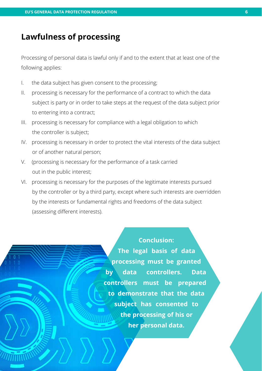### **Lawfulness of processing**

Processing of personal data is lawful only if and to the extent that at least one of the following applies:

- I. the data subject has given consent to the processing;
- II. processing is necessary for the performance of a contract to which the data subject is party or in order to take steps at the request of the data subject prior to entering into a contract;
- III. processing is necessary for compliance with a legal obligation to which the controller is subject;
- IV. processing is necessary in order to protect the vital interests of the data subject or of another natural person;
- V. (processing is necessary for the performance of a task carried out in the public interest;
- VI. processing is necessary for the purposes of the legitimate interests pursued by the controller or by a third party, except where such interests are overridden by the interests or fundamental rights and freedoms of the data subject (assessing diferent interests).

#### **Conclusion:**

**The legal basis of data processing must be granted by data controllers. Data controllers must be prepared to demonstrate that the data subject has consented to the processing of his or her personal data.**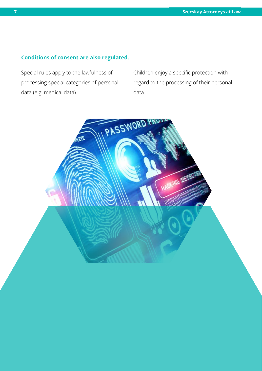### **Conditions of consent are also regulated.**

Special rules apply to the lawfulness of processing special categories of personal data (e.g. medical data).

Children enjoy a specific protection with regard to the processing of their personal data.

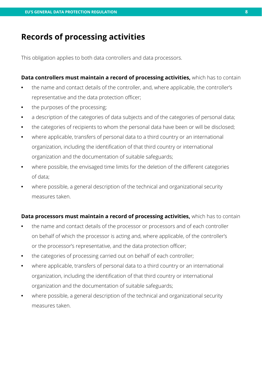### **Records of processing activities**

This obligation applies to both data controllers and data processors.

**Data controllers must maintain a record of processing activities,** which has to contain **•** the name and contact details of the controller, and, where applicable, the controller's representative and the data protection officer;

- **•** the purposes of the processing;
- **•** a description of the categories of data subjects and of the categories of personal data;
- **•** the categories of recipients to whom the personal data have been or will be disclosed;
- **•** where applicable, transfers of personal data to a third country or an international organization, including the identifcation of that third country or international organization and the documentation of suitable safeguards;
- **•** where possible, the envisaged time limits for the deletion of the diferent categories of data;
- **•** where possible, a general description of the technical and organizational security measures taken.

#### **Data processors must maintain a record of processing activities,** which has to contain

- **•** the name and contact details of the processor or processors and of each controller on behalf of which the processor is acting and, where applicable, of the controller's or the processor's representative, and the data protection officer;
- **•** the categories of processing carried out on behalf of each controller;
- **•** where applicable, transfers of personal data to a third country or an international organization, including the identifcation of that third country or international organization and the documentation of suitable safeguards;
- **•** where possible, a general description of the technical and organizational security measures taken.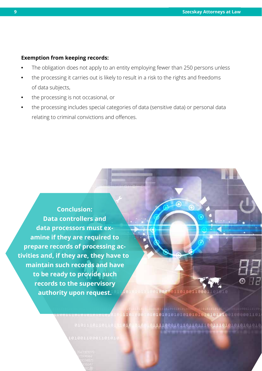#### **Exemption from keeping records:**

- **•** The obligation does not apply to an entity employing fewer than 250 persons unless
- **•** the processing it carries out is likely to result in a risk to the rights and freedoms of data subjects,
- **•** the processing is not occasional, or
- **•** the processing includes special categories of data (sensitive data) or personal data relating to criminal convictions and offences.

**Conclusion: Data controllers and data processors must examine if they are required to prepare records of processing activities and, if they are, they have to maintain such records and have to be ready to provide such records to the supervisory authority upon request.**

> 8181110110110110161 1916

100000110100110

1010101010101010101010111001000001101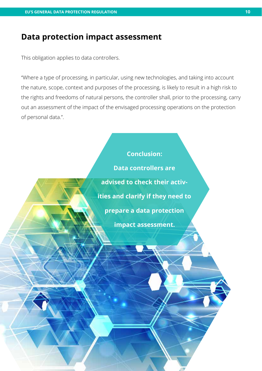### **Data protection impact assessment**

This obligation applies to data controllers.

"Where a type of processing, in particular, using new technologies, and taking into account the nature, scope, context and purposes of the processing, is likely to result in a high risk to the rights and freedoms of natural persons, the controller shall, prior to the processing, carry out an assessment of the impact of the envisaged processing operations on the protection of personal data.".

#### **Conclusion:**

**Data controllers are advised to check their activities and clarify if they need to prepare a data protection impact assessment.**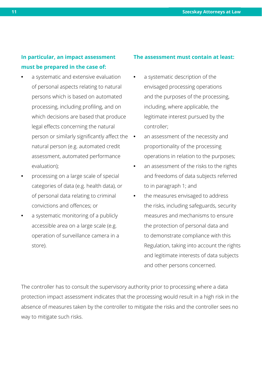### **In particular, an impact assessment must be prepared in the case of:**

- **•** a systematic and extensive evaluation of personal aspects relating to natural persons which is based on automated processing, including profling, and on which decisions are based that produce legal effects concerning the natural person or similarly significantly affect the  $\bullet$ natural person (e.g. automated credit assessment, automated performance evaluation);
- **•** processing on a large scale of special categories of data (e.g. health data), or of personal data relating to criminal convictions and ofences; or
- **•** a systematic monitoring of a publicly accessible area on a large scale (e.g. operation of surveillance camera in a store).

#### **The assessment must contain at least:**

- **•** a systematic description of the envisaged processing operations and the purposes of the processing, including, where applicable, the legitimate interest pursued by the controller;
- **•** an assessment of the necessity and proportionality of the processing operations in relation to the purposes;
- **•** an assessment of the risks to the rights and freedoms of data subjects referred to in paragraph 1; and
- **•** the measures envisaged to address the risks, including safeguards, security measures and mechanisms to ensure the protection of personal data and to demonstrate compliance with this Regulation, taking into account the rights and legitimate interests of data subjects and other persons concerned.

The controller has to consult the supervisory authority prior to processing where a data protection impact assessment indicates that the processing would result in a high risk in the absence of measures taken by the controller to mitigate the risks and the controller sees no way to mitigate such risks.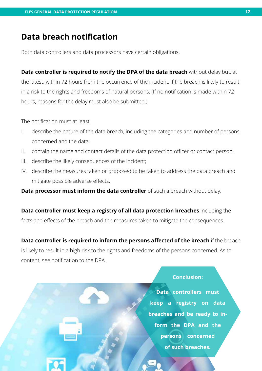### **Data breach notifcation**

Both data controllers and data processors have certain obligations.

**Data controller is required to notify the DPA of the data breach** without delay but, at the latest, within 72 hours from the occurrence of the incident, if the breach is likely to result in a risk to the rights and freedoms of natural persons. (If no notifcation is made within 72 hours, reasons for the delay must also be submitted.)

The notification must at least

- I. describe the nature of the data breach, including the categories and number of persons concerned and the data;
- II. contain the name and contact details of the data protection officer or contact person;
- III. describe the likely consequences of the incident;
- IV. describe the measures taken or proposed to be taken to address the data breach and mitigate possible adverse efects.

**Data processor must inform the data controller** of such a breach without delay.

**Data controller must keep a registry of all data protection breaches** including the facts and efects of the breach and the measures taken to mitigate the consequences.

**Data controller is required to inform the persons afected of the breach** if the breach is likely to result in a high risk to the rights and freedoms of the persons concerned. As to content, see notification to the DPA.

#### **Conclusion:**

**Data controllers must keep a registry on data breaches and be ready to inform the DPA and the persons concerned of such breaches.**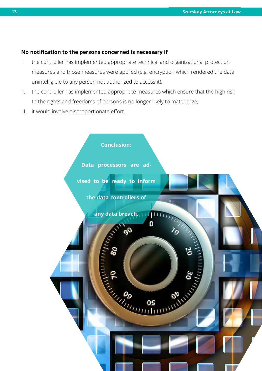#### **No notifcation to the persons concerned is necessary if**

- I. the controller has implemented appropriate technical and organizational protection measures and those measures were applied (e.g. encryption which rendered the data unintelligible to any person not authorized to access it);
- II. the controller has implemented appropriate measures which ensure that the high risk to the rights and freedoms of persons is no longer likely to materialize;
- III. it would involve disproportionate effort.

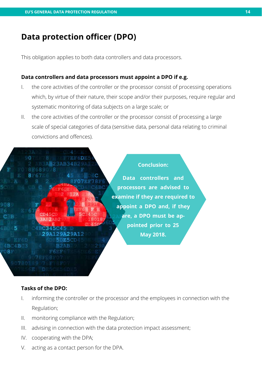### **Data protection officer (DPO)**

This obligation applies to both data controllers and data processors.

#### **Data controllers and data processors must appoint a DPO if e.g.**

- I. the core activities of the controller or the processor consist of processing operations which, by virtue of their nature, their scope and/or their purposes, require regular and systematic monitoring of data subjects on a large scale; or
- II. the core activities of the controller or the processor consist of processing a large scale of special categories of data (sensitive data, personal data relating to criminal convictions and ofences).



#### **Tasks of the DPO:**

- I. informing the controller or the processor and the employees in connection with the Regulation;
- II. monitoring compliance with the Regulation;
- III. advising in connection with the data protection impact assessment;
- IV. cooperating with the DPA;
- V. acting as a contact person for the DPA.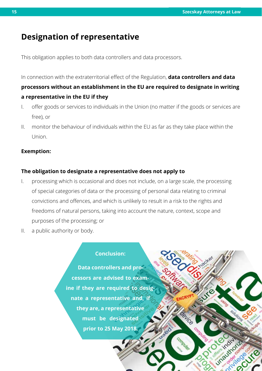### **Designation of representative**

This obligation applies to both data controllers and data processors.

In connection with the extraterritorial effect of the Regulation, **data controllers and data processors without an establishment in the EU are required to designate in writing a representative in the EU if they**

- I. offer goods or services to individuals in the Union (no matter if the goods or services are free), or
- II. monitor the behaviour of individuals within the EU as far as they take place within the Union.

#### **Exemption:**

#### **The obligation to designate a representative does not apply to**

- I. processing which is occasional and does not include, on a large scale, the processing of special categories of data or the processing of personal data relating to criminal convictions and ofences, and which is unlikely to result in a risk to the rights and freedoms of natural persons, taking into account the nature, context, scope and purposes of the processing; or
- II. a public authority or body.

#### **Conclusion:**

**Data controllers and processors are advised to examine if they are required to designate a representative and, if they are, a representative must be designated prior to 25 May 2018.**

device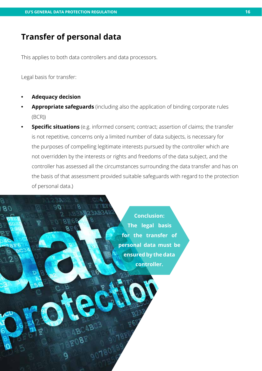### **Transfer of personal data**

This applies to both data controllers and data processors.

Legal basis for transfer:

**• Adequacy decision**

 $B()$ 

- **• Appropriate safeguards** (including also the application of binding corporate rules (BCR))
- **Specific situations** (e.g. informed consent; contract; assertion of claims; the transfer is not repetitive, concerns only a limited number of data subjects, is necessary for the purposes of compelling legitimate interests pursued by the controller which are not overridden by the interests or rights and freedoms of the data subject, and the controller has assessed all the circumstances surrounding the data transfer and has on the basis of that assessment provided suitable safeguards with regard to the protection of personal data.)

**Conclusion: The legal basis for the transfer of personal data must be ensured by the data controller.**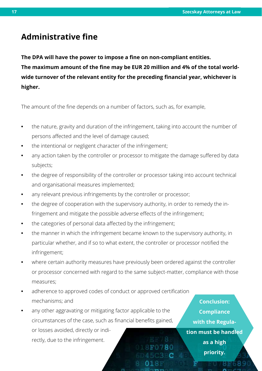### **Administrative fne**

**The DPA will have the power to impose a fne on non-compliant entities.** The maximum amount of the fine may be EUR 20 million and 4% of the total world**wide turnover of the relevant entity for the preceding fnancial year, whichever is higher.**

The amount of the fine depends on a number of factors, such as, for example,

- **•** the nature, gravity and duration of the infringement, taking into account the number of persons afected and the level of damage caused;
- **•** the intentional or negligent character of the infringement;
- **•** any action taken by the controller or processor to mitigate the damage sufered by data subjects;
- the degree of responsibility of the controller or processor taking into account technical and organisational measures implemented;
- **•** any relevant previous infringements by the controller or processor;
- **•** the degree of cooperation with the supervisory authority, in order to remedy the infringement and mitigate the possible adverse effects of the infringement;
- **•** the categories of personal data afected by the infringement;
- **•** the manner in which the infringement became known to the supervisory authority, in particular whether, and if so to what extent, the controller or processor notifed the infringement;
- **•** where certain authority measures have previously been ordered against the controller or processor concerned with regard to the same subject-matter, compliance with those measures;
- **•** adherence to approved codes of conduct or approved certifcation mechanisms; and
- **•** any other aggravating or mitigating factor applicable to the circumstances of the case, such as fnancial benefts gained, or losses avoided, directly or indirectly, due to the infringement.

**Conclusion: Compliance with the Regulation must be handled as a high priority.**

88689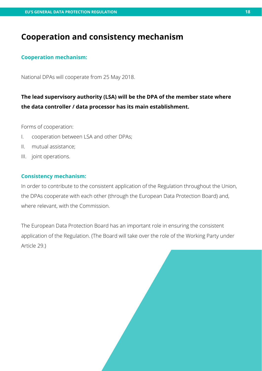### **Cooperation and consistency mechanism**

#### **Cooperation mechanism:**

National DPAs will cooperate from 25 May 2018.

### **The lead supervisory authority (LSA) will be the DPA of the member state where the data controller / data processor has its main establishment.**

**18 19**

Forms of cooperation:

- I. cooperation between LSA and other DPAs;
- II. mutual assistance;
- III. joint operations.

#### **Consistency mechanism:**

In order to contribute to the consistent application of the Regulation throughout the Union, the DPAs cooperate with each other (through the European Data Protection Board) and, where relevant, with the Commission.

The European Data Protection Board has an important role in ensuring the consistent application of the Regulation. (The Board will take over the role of the Working Party under Article 29.)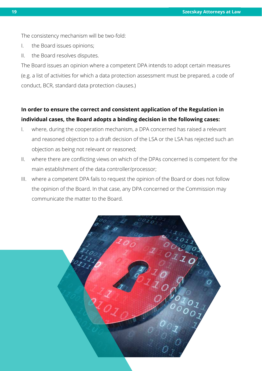The consistency mechanism will be two-fold:

- I. the Board issues opinions;
- II. the Board resolves disputes.

The Board issues an opinion where a competent DPA intends to adopt certain measures (e.g. a list of activities for which a data protection assessment must be prepared, a code of conduct, BCR, standard data protection clauses.)

### **In order to ensure the correct and consistent application of the Regulation in individual cases, the Board adopts a binding decision in the following cases:**

- I. where, during the cooperation mechanism, a DPA concerned has raised a relevant and reasoned objection to a draft decision of the LSA or the LSA has rejected such an objection as being not relevant or reasoned;
- II. where there are conficting views on which of the DPAs concerned is competent for the main establishment of the data controller/processor;
- III. where a competent DPA fails to request the opinion of the Board or does not follow the opinion of the Board. In that case, any DPA concerned or the Commission may communicate the matter to the Board.

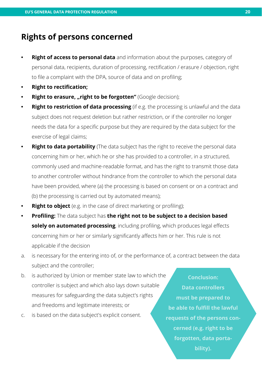### **Rights of persons concerned**

- **Right of access to personal data** and information about the purposes, category of personal data, recipients, duration of processing, rectifcation / erasure / objection, right to fle a complaint with the DPA, source of data and on profling;
- **Right to rectification;**
- **Right to erasure, "right to be forgotten"** (Google decision);
- **Right to restriction of data processing** (if e.g. the processing is unlawful and the data subject does not request deletion but rather restriction, or if the controller no longer needs the data for a specifc purpose but they are required by the data subject for the exercise of legal claims;
- **Right to data portability** (The data subject has the right to receive the personal data concerning him or her, which he or she has provided to a controller, in a structured, commonly used and machine-readable format, and has the right to transmit those data to another controller without hindrance from the controller to which the personal data have been provided, where (a) the processing is based on consent or on a contract and (b) the processing is carried out by automated means);
- **Right to object** (e.g. in the case of direct marketing or profiling);
- **Profiling:** The data subject has the right not to be subject to a decision based **solely on automated processing**, including profiling, which produces legal effects concerning him or her or similarly signifcantly afects him or her. This rule is not applicable if the decision
- a. is necessary for the entering into of, or the performance of, a contract between the data subject and the controller;
- b. is authorized by Union or member state law to which the controller is subject and which also lays down suitable measures for safeguarding the data subject's rights and freedoms and legitimate interests; or
- c. is based on the data subject's explicit consent.

**Conclusion: Data controllers must be prepared to be able to fulfill the lawful requests of the persons concerned (e.g. right to be forgotten, data portability).**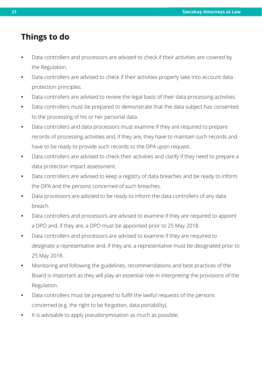## **Things to do**

- **•** Data controllers and processors are advised to check if their activities are covered by the Regulation.
- **•** Data controllers are advised to check if their activities properly take into account data protection principles.
- **•** Data controllers are advised to review the legal basis of their data processing activities.
- **•** Data controllers must be prepared to demonstrate that the data subject has consented to the processing of his or her personal data.
- **•** Data controllers and data processors must examine if they are required to prepare records of processing activities and, if they are, they have to maintain such records and have to be ready to provide such records to the DPA upon request.
- **•** Data controllers are advised to check their activities and clarify if they need to prepare a data protection impact assessment.
- **•** Data controllers are advised to keep a registry of data breaches and be ready to inform the DPA and the persons concerned of such breaches.
- **•** Data processors are advised to be ready to inform the data controllers of any data breach.
- **•** Data controllers and processors are advised to examine if they are required to appoint a DPO and, if they are, a DPO must be appointed prior to 25 May 2018.
- **•** Data controllers and processors are advised to examine if they are required to designate a representative and, if they are, a representative must be designated prior to 25 May 2018.
- **•** Monitoring and following the guidelines, recommendations and best practices of the Board is important as they will play an essential role in interpreting the provisions of the Regulation.
- **•** Data controllers must be prepared to fulfll the lawful requests of the persons concerned (e.g. the right to be forgotten, data portability).
- **•** It is advisable to apply pseudonymisation as much as possible.